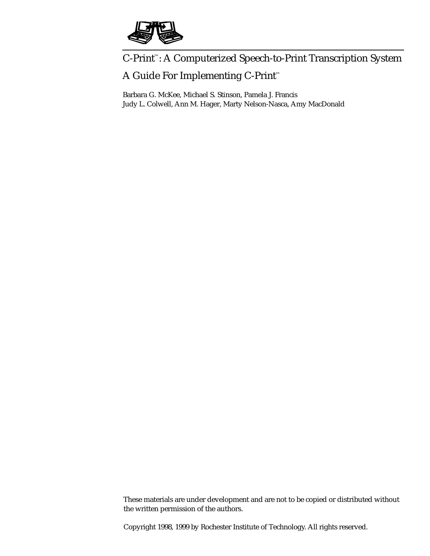

# C-Print ™: A Computerized Speech-to-Print Transcription System

## A Guide For Implementing C-Print ™

Barbara G. McKee, Michael S. Stinson, Pamela J. Francis Judy L. Colwell, Ann M. Hager, Marty Nelson-Nasca, Amy MacDonald

These materials are under development and are not to be copied or distributed without the written permission of the authors.

Copyright 1998, 1999 by Rochester Institute of Technology. All rights reserved.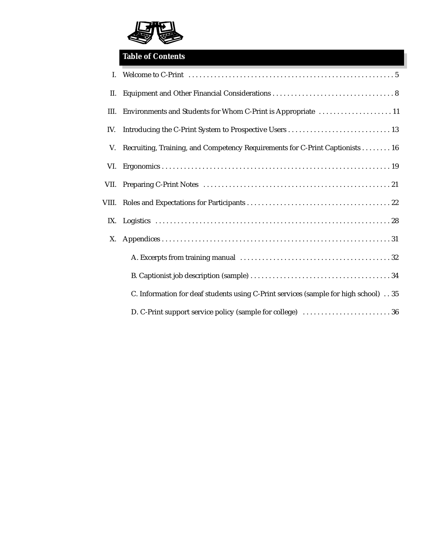

## **Table of Contents**

| L.   |                                                                                     |
|------|-------------------------------------------------------------------------------------|
| II.  |                                                                                     |
| III. | Environments and Students for Whom C-Print is Appropriate  11                       |
| IV.  |                                                                                     |
| V.   | Recruiting, Training, and Competency Requirements for C-Print Captionists 16        |
| VI.  |                                                                                     |
|      |                                                                                     |
|      |                                                                                     |
|      |                                                                                     |
| X.   |                                                                                     |
|      |                                                                                     |
|      |                                                                                     |
|      | C. Information for deaf students using C-Print services (sample for high school) 35 |
|      |                                                                                     |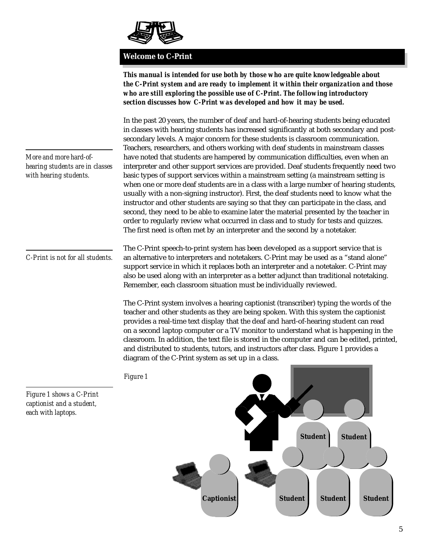

### **Welcome to C-Print**

*This manual is intended for use both by those who are quite knowledgeable about the C-Print system and are ready to implement it within their organization and those who are still exploring the possible use of C-Print. The following introductory section discusses how C-Print was developed and how it may be used.*

In the past 20 years, the number of deaf and hard-of-hearing students being educated in classes with hearing students has increased significantly at both secondary and postsecondary levels. A major concern for these students is classroom communication. Teachers, researchers, and others working with deaf students in mainstream classes have noted that students are hampered by communication difficulties, even when an interpreter and other support services are provided. Deaf students frequently need two basic types of support services within a mainstream setting (a mainstream setting is when one or more deaf students are in a class with a large number of hearing students, usually with a non-signing instructor). First, the deaf students need to know what the instructor and other students are saying so that they can participate in the class, and second, they need to be able to examine later the material presented by the teacher in order to regularly review what occurred in class and to study for tests and quizzes. The first need is often met by an interpreter and the second by a notetaker.

The C-Print speech-to-print system has been developed as a support service that is an alternative to interpreters and notetakers. C-Print may be used as a "stand alone" support service in which it replaces both an interpreter and a notetaker. C-Print may also be used along with an interpreter as a better adjunct than traditional notetaking. Remember, each classroom situation must be individually reviewed.

The C-Print system involves a hearing captionist (transcriber) typing the words of the teacher and other students as they are being spoken. With this system the captionist provides a real-time text display that the deaf and hard-of-hearing student can read on a second laptop computer or a TV monitor to understand what is happening in the classroom. In addition, the text file is stored in the computer and can be edited, printed, and distributed to students, tutors, and instructors after class. Figure 1 provides a diagram of the C-Print system as set up in a class.



*More and more hard-ofhearing students are in classes with hearing students.*

*C-Print is not for all students.*

*Figure 1 shows a C-Print captionist and a student, each with laptops.*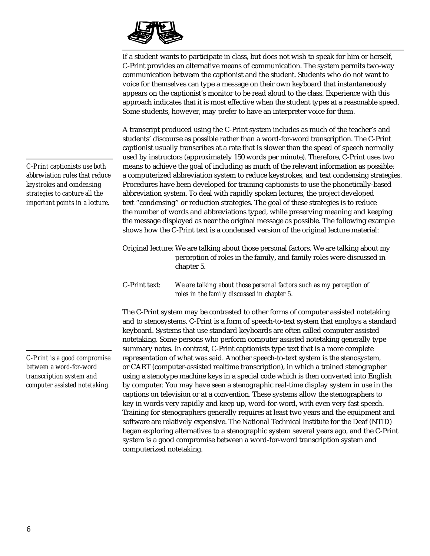

If a student wants to participate in class, but does not wish to speak for him or herself, C-Print provides an alternative means of communication. The system permits two-way communication between the captionist and the student. Students who do not want to voice for themselves can type a message on their own keyboard that instantaneously appears on the captionist's monitor to be read aloud to the class. Experience with this approach indicates that it is most effective when the student types at a reasonable speed. Some students, however, may prefer to have an interpreter voice for them.

A transcript produced using the C-Print system includes as much of the teacher's and students' discourse as possible rather than a word-for-word transcription. The C-Print captionist usually transcribes at a rate that is slower than the speed of speech normally used by instructors (approximately 150 words per minute). Therefore, C-Print uses two means to achieve the goal of including as much of the relevant information as possible: a computerized abbreviation system to reduce keystrokes, and text condensing strategies. Procedures have been developed for training captionists to use the phonetically-based abbreviation system. To deal with rapidly spoken lectures, the project developed text "condensing" or reduction strategies. The goal of these strategies is to reduce the number of words and abbreviations typed, while preserving meaning and keeping the message displayed as near the original message as possible. The following example shows how the C-Print text is a condensed version of the original lecture material:

Original lecture: We are talking about those personal factors. We are talking about my perception of roles in the family, and family roles were discussed in chapter 5.

C-Print text: *We are talking about those personal factors such as my perception of roles in the family discussed in chapter 5.*

The C-Print system may be contrasted to other forms of computer assisted notetaking and to stenosystems. C-Print is a form of speech-to-text system that employs a standard keyboard. Systems that use standard keyboards are often called computer assisted notetaking. Some persons who perform computer assisted notetaking generally type summary notes. In contrast, C-Print captionists type text that is a more complete representation of what was said. Another speech-to-text system is the stenosystem, or CART (computer-assisted realtime transcription), in which a trained stenographer using a stenotype machine keys in a special code which is then converted into English by computer. You may have seen a stenographic real-time display system in use in the captions on television or at a convention. These systems allow the stenographers to key in words very rapidly and keep up, word-for-word, with even very fast speech. Training for stenographers generally requires at least two years and the equipment and software are relatively expensive. The National Technical Institute for the Deaf (NTID) began exploring alternatives to a stenographic system several years ago, and the C-Print system is a good compromise between a word-for-word transcription system and computerized notetaking.

*C-Print captionists use both abbreviation rules that reduce keystrokes and condensing strategies to capture all the important points in a lecture.*

*C-Print is a good compromise between a word-for-word transcription system and computer assisted notetaking.*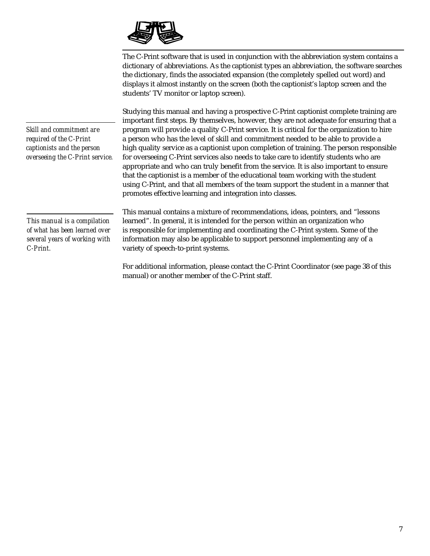

The C-Print software that is used in conjunction with the abbreviation system contains a dictionary of abbreviations. As the captionist types an abbreviation, the software searches the dictionary, finds the associated expansion (the completely spelled out word) and displays it almost instantly on the screen (both the captionist's laptop screen and the students' TV monitor or laptop screen).

Studying this manual and having a prospective C-Print captionist complete training are important first steps. By themselves, however, they are not adequate for ensuring that a program will provide a quality C-Print service. It is critical for the organization to hire a person who has the level of skill and commitment needed to be able to provide a high quality service as a captionist upon completion of training. The person responsible for overseeing C-Print services also needs to take care to identify students who are appropriate and who can truly benefit from the service. It is also important to ensure that the captionist is a member of the educational team working with the student using C-Print, and that all members of the team support the student in a manner that promotes effective learning and integration into classes.

*Skill and commitment are required of the C-Print captionists and the person overseeing the C-Print service.*

*This manual is a compilation of what has been learned over several years of working with C-Print.*

This manual contains a mixture of recommendations, ideas, pointers, and "lessons learned". In general, it is intended for the person within an organization who is responsible for implementing and coordinating the C-Print system. Some of the information may also be applicable to support personnel implementing any of a variety of speech-to-print systems.

For additional information, please contact the C-Print Coordinator (see page 38 of this manual) or another member of the C-Print staff.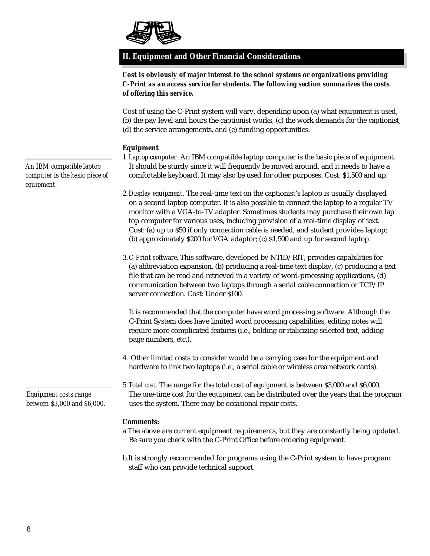

## **II. Equipment and Other Financial Considerations**

*Cost is obviously of major interest to the school systems or organizations providing C-Print as an access service for students. The following section summarizes the costs of offering this service.*

Cost of using the C-Print system will vary, depending upon (a) what equipment is used, (b) the pay level and hours the captionist works, (c) the work demands for the captionist, (d) the service arrangements, and (e) funding opportunities.

### **Equipment**

- 1.*Laptop computer*. An IBM compatible laptop computer is the basic piece of equipment. It should be sturdy since it will frequently be moved around, and it needs to have a comfortable keyboard. It may also be used for other purposes. Cost: \$1,500 and up.
- 2.*Display equipment*. The real-time text on the captionist's laptop is usually displayed on a second laptop computer. It is also possible to connect the laptop to a regular TV monitor with a VGA-to-TV adapter. Sometimes students may purchase their own lap top computer for various uses, including provision of a real-time display of text. Cost: (a) up to \$50 if only connection cable is needed, and student provides laptop; (b) approximately \$200 for VGA adaptor; (c) \$1,500 and up for second laptop.
- 3.*C-Print software*. This software, developed by NTID/RIT, provides capabilities for (a) abbreviation expansion, (b) producing a real-time text display, (c) producing a text file that can be read and retrieved in a variety of word-processing applications, (d) communication between two laptops through a serial cable connection or TCP/IP server connection. Cost: Under \$100.

It is recommended that the computer have word processing software. Although the C-Print System does have limited word processing capabilities, editing notes will require more complicated features (i.e., bolding or italicizing selected text, adding page numbers, etc.).

- 4. Other limited costs to consider would be a carrying case for the equipment and hardware to link two laptops (i.e., a serial cable or wireless area network cards).
- 5.*Total cost*. The range for the total cost of equipment is between \$3,000 and \$6,000. The one-time cost for the equipment can be distributed over the years that the program uses the system. There may be occasional repair costs.

### **Comments:**

- a.The above are current equipment requirements, but they are constantly being updated. Be sure you check with the C-Print Office before ordering equipment.
- b.It is strongly recommended for programs using the C-Print system to have program staff who can provide technical support.

*An IBM compatible laptop computer is the basic piece of equipment.*

*Equipment costs range between \$3,000 and \$6,000.*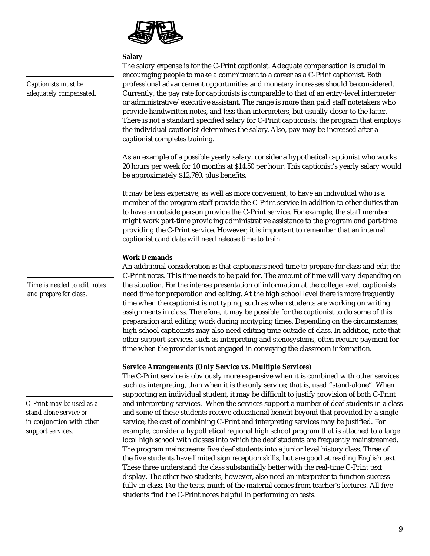

### **Salary**

The salary expense is for the C-Print captionist. Adequate compensation is crucial in encouraging people to make a commitment to a career as a C-Print captionist. Both professional advancement opportunities and monetary increases should be considered. Currently, the pay rate for captionists is comparable to that of an entry-level interpreter or administrative/executive assistant. The range is more than paid staff notetakers who provide handwritten notes, and less than interpreters, but usually closer to the latter. There is not a standard specified salary for C-Print captionists; the program that employs the individual captionist determines the salary. Also, pay may be increased after a captionist completes training.

As an example of a possible yearly salary, consider a hypothetical captionist who works 20 hours per week for 10 months at \$14.50 per hour. This captionist's yearly salary would be approximately \$12,760, plus benefits.

It may be less expensive, as well as more convenient, to have an individual who is a member of the program staff provide the C-Print service in addition to other duties than to have an outside person provide the C-Print service. For example, the staff member might work part-time providing administrative assistance to the program and part-time providing the C-Print service. However, it is important to remember that an internal captionist candidate will need release time to train.

### **Work Demands**

An additional consideration is that captionists need time to prepare for class and edit the C-Print notes. This time needs to be paid for. The amount of time will vary depending on the situation. For the intense presentation of information at the college level, captionists need time for preparation and editing. At the high school level there is more frequently time when the captionist is not typing, such as when students are working on writing assignments in class. Therefore, it may be possible for the captionist to do some of this preparation and editing work during nontyping times. Depending on the circumstances, high-school captionists may also need editing time outside of class. In addition, note that other support services, such as interpreting and stenosystems, often require payment for time when the provider is not engaged in conveying the classroom information.

### **Service Arrangements (Only Service vs. Multiple Services)**

The C-Print service is obviously more expensive when it is combined with other services such as interpreting, than when it is the only service; that is, used "stand-alone". When supporting an individual student, it may be difficult to justify provision of both C-Print and interpreting services. When the services support a number of deaf students in a class and some of these students receive educational benefit beyond that provided by a single service, the cost of combining C-Print and interpreting services may be justified. For example, consider a hypothetical regional high school program that is attached to a large local high school with classes into which the deaf students are frequently mainstreamed. The program mainstreams five deaf students into a junior level history class. Three of the five students have limited sign reception skills, but are good at reading English text. These three understand the class substantially better with the real-time C-Print text display. The other two students, however, also need an interpreter to function successfully in class. For the tests, much of the material comes from teacher's lectures. All five students find the C-Print notes helpful in performing on tests.

*Captionists must be adequately compensated.*

*Time is needed to edit notes and prepare for class.*

*C-Print may be used as a stand alone service or in conjunction with other support services.*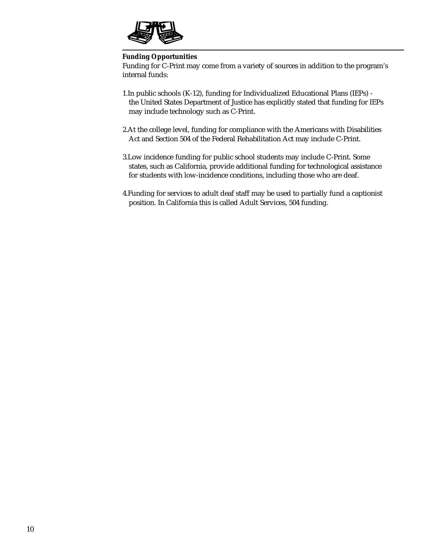

### **Funding Opportunities**

Funding for C-Print may come from a variety of sources in addition to the program's internal funds:

- 1.In public schools (K-12), funding for Individualized Educational Plans (IEPs) the United States Department of Justice has explicitly stated that funding for IEPs may include technology such as C-Print.
- 2.At the college level, funding for compliance with the Americans with Disabilities Act and Section 504 of the Federal Rehabilitation Act may include C-Print.
- 3.Low incidence funding for public school students may include C-Print. Some states, such as California, provide additional funding for technological assistance for students with low-incidence conditions, including those who are deaf.
- 4.Funding for services to adult deaf staff may be used to partially fund a captionist position. In California this is called Adult Services, 504 funding.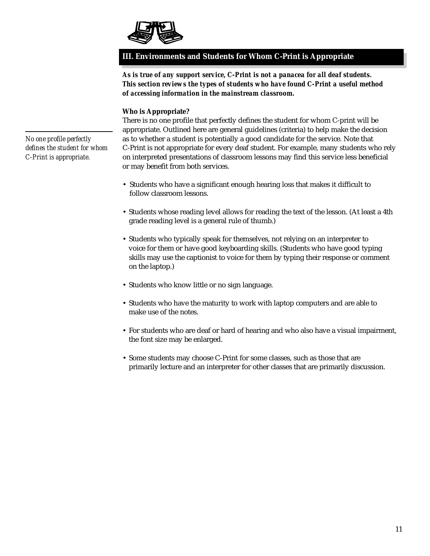

### **III. Environments and Students for Whom C-Print is Appropriate**

*As is true of any support service, C-Print is not a panacea for all deaf students. This section reviews the types of students who have found C-Print a useful method of accessing information in the mainstream classroom.*

### **Who is Appropriate?**

There is no one profile that perfectly defines the student for whom C-print will be appropriate. Outlined here are general guidelines (criteria) to help make the decision as to whether a student is potentially a good candidate for the service. Note that C-Print is not appropriate for every deaf student. For example, many students who rely on interpreted presentations of classroom lessons may find this service less beneficial or may benefit from both services.

- Students who have a significant enough hearing loss that makes it difficult to follow classroom lessons.
- Students whose reading level allows for reading the text of the lesson. (At least a 4th grade reading level is a general rule of thumb.)
- Students who typically speak for themselves, not relying on an interpreter to voice for them or have good keyboarding skills. (Students who have good typing skills may use the captionist to voice for them by typing their response or comment on the laptop.)
- Students who know little or no sign language.
- Students who have the maturity to work with laptop computers and are able to make use of the notes.
- For students who are deaf or hard of hearing and who also have a visual impairment, the font size may be enlarged.
- Some students may choose C-Print for some classes, such as those that are primarily lecture and an interpreter for other classes that are primarily discussion.

*No one profile perfectly defines the student for whom C-Print is appropriate.*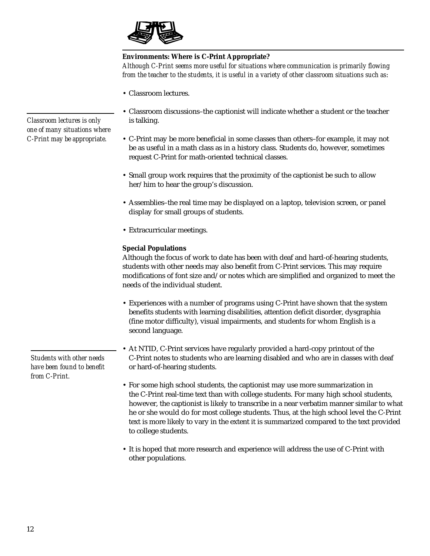

### **Environments: Where is C-Print Appropriate?**

*Although C-Print seems more useful for situations where communication is primarily flowing from the teacher to the students, it is useful in a variety of other classroom situations such as*:

• Classroom lectures.

- Classroom discussions–the captionist will indicate whether a student or the teacher is talking.
- C-Print may be more beneficial in some classes than others–for example, it may not be as useful in a math class as in a history class. Students do, however, sometimes request C-Print for math-oriented technical classes.
- Small group work requires that the proximity of the captionist be such to allow her/him to hear the group's discussion.
- Assemblies–the real time may be displayed on a laptop, television screen, or panel display for small groups of students.
- Extracurricular meetings.

### **Special Populations**

Although the focus of work to date has been with deaf and hard-of-hearing students, students with other needs may also benefit from C-Print services. This may require modifications of font size and/or notes which are simplified and organized to meet the needs of the individual student.

- Experiences with a number of programs using C-Print have shown that the system benefits students with learning disabilities, attention deficit disorder, dysgraphia (fine motor difficulty), visual impairments, and students for whom English is a second language.
- At NTID, C-Print services have regularly provided a hard-copy printout of the C-Print notes to students who are learning disabled and who are in classes with deaf or hard-of-hearing students.
- For some high school students, the captionist may use more summarization in the C-Print real-time text than with college students. For many high school students, however, the captionist is likely to transcribe in a near verbatim manner similar to what he or she would do for most college students. Thus, at the high school level the C-Print text is more likely to vary in the extent it is summarized compared to the text provided to college students.
- It is hoped that more research and experience will address the use of C-Print with other populations.

*Students with other needs have been found to benefit from C-Print.*

*Classroom lectures is only one of many situations where C-Print may be appropriate.*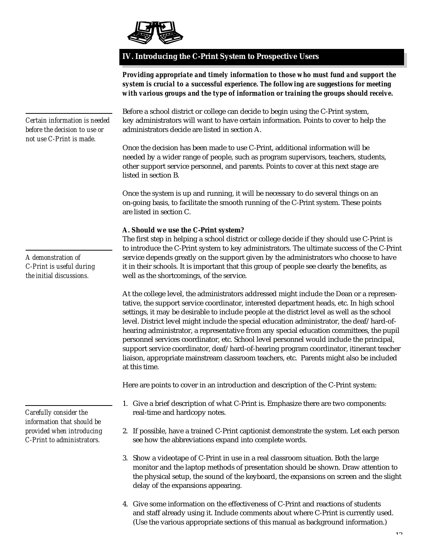

*Certain information is needed*

### **IV. Introducing the C-Print System to Prospective Users**

*Providing appropriate and timely information to those who must fund and support the system is crucial to a successful experience. The following are suggestions for meeting with various groups and the type of information or training the groups should receive.*

Before a school district or college can decide to begin using the C-Print system, key administrators will want to have certain information. Points to cover to help the

administrators decide are listed in section A. Once the decision has been made to use C-Print, additional information will be needed by a wider range of people, such as program supervisors, teachers, students, other support service personnel, and parents. Points to cover at this next stage are listed in section B. Once the system is up and running, it will be necessary to do several things on an on-going basis, to facilitate the smooth running of the C-Print system. These points are listed in section C. **A. Should we use the C-Print system?** The first step in helping a school district or college decide if they should use C-Print is to introduce the C-Print system to key administrators. The ultimate success of the C-Print service depends greatly on the support given by the administrators who choose to have it in their schools. It is important that this group of people see clearly the benefits, as well as the shortcomings, of the service. At the college level, the administrators addressed might include the Dean or a representative, the support service coordinator, interested department heads, etc. In high school settings, it may be desirable to include people at the district level as well as the school level. District level might include the special education administrator, the deaf/hard-ofhearing administrator, a representative from any special education committees, the pupil personnel services coordinator, etc. School level personnel would include the principal, support service coordinator, deaf/hard-of-hearing program coordinator, itinerant teacher liaison, appropriate mainstream classroom teachers, etc. Parents might also be included at this time. Here are points to cover in an introduction and description of the C-Print system: 1. Give a brief description of what C-Print is. Emphasize there are two components: real-time and hardcopy notes. 2. If possible, have a trained C-Print captionist demonstrate the system. Let each person see how the abbreviations expand into complete words. 3. Show a videotape of C-Print in use in a real classroom situation. Both the large *before the decision to use or not use C-Print is made. A demonstration of C-Print is useful during the initial discussions. Carefully consider the information that should be provided when introducing C-Print to administrators.*

- monitor and the laptop methods of presentation should be shown. Draw attention to the physical setup, the sound of the keyboard, the expansions on screen and the slight delay of the expansions appearing.
- 4. Give some information on the effectiveness of C-Print and reactions of students and staff already using it. Include comments about where C-Print is currently used. (Use the various appropriate sections of this manual as background information.)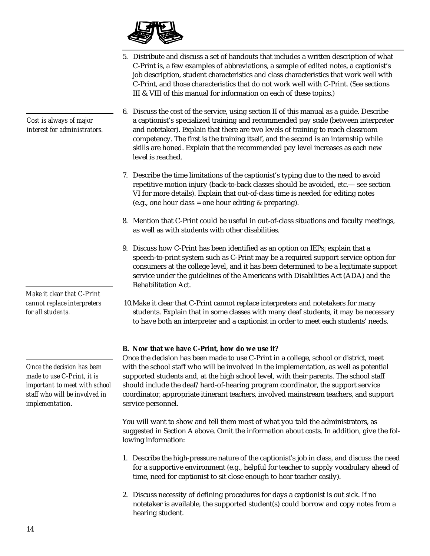

- 5. Distribute and discuss a set of handouts that includes a written description of what C-Print is, a few examples of abbreviations, a sample of edited notes, a captionist's job description, student characteristics and class characteristics that work well with C-Print, and those characteristics that do not work well with C-Print. (See sections III & VIII of this manual for information on each of these topics.)
- 6. Discuss the cost of the service, using section II of this manual as a guide. Describe a captionist's specialized training and recommended pay scale (between interpreter and notetaker). Explain that there are two levels of training to reach classroom competency. The first is the training itself, and the second is an internship while skills are honed. Explain that the recommended pay level increases as each new level is reached.
- 7. Describe the time limitations of the captionist's typing due to the need to avoid repetitive motion injury (back-to-back classes should be avoided, etc.— see section VI for more details). Explain that out-of-class time is needed for editing notes (e.g., one hour class = one hour editing & preparing).
- 8. Mention that C-Print could be useful in out-of-class situations and faculty meetings, as well as with students with other disabilities.
- 9. Discuss how C-Print has been identified as an option on IEPs; explain that a speech-to-print system such as C-Print may be a required support service option for consumers at the college level, and it has been determined to be a legitimate support service under the guidelines of the Americans with Disabilities Act (ADA) and the Rehabilitation Act.
- 10.Make it clear that C-Print cannot replace interpreters and notetakers for many students. Explain that in some classes with many deaf students, it may be necessary to have both an interpreter and a captionist in order to meet each students' needs.

### **B. Now that we have C-Print, how do we use it?**

Once the decision has been made to use C-Print in a college, school or district, meet with the school staff who will be involved in the implementation, as well as potential supported students and, at the high school level, with their parents. The school staff should include the deaf/hard-of-hearing program coordinator, the support service coordinator, appropriate itinerant teachers, involved mainstream teachers, and support service personnel.

You will want to show and tell them most of what you told the administrators, as suggested in Section A above. Omit the information about costs. In addition, give the following information:

- 1. Describe the high-pressure nature of the captionist's job in class, and discuss the need for a supportive environment (e.g., helpful for teacher to supply vocabulary ahead of time, need for captionist to sit close enough to hear teacher easily).
- 2. Discuss necessity of defining procedures for days a captionist is out sick. If no notetaker is available, the supported student(s) could borrow and copy notes from a hearing student.

*Cost is always of major interest for administrators.*

*Make it clear that C-Print cannot replace interpreters for all students.*

*Once the decision has been made to use C-Print, it is important to meet with school staff who will be involved in implementation.*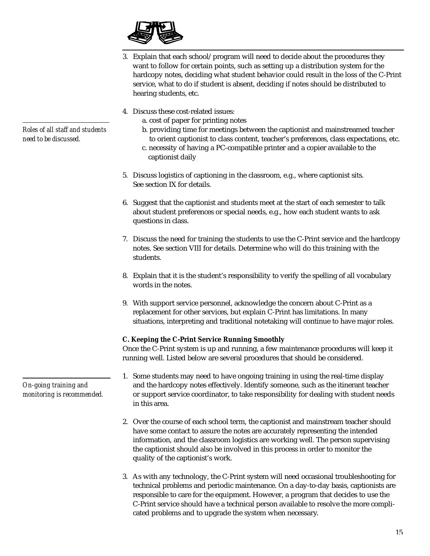

- 3. Explain that each school/program will need to decide about the procedures they want to follow for certain points, such as setting up a distribution system for the hardcopy notes, deciding what student behavior could result in the loss of the C-Print service, what to do if student is absent, deciding if notes should be distributed to hearing students, etc.
- 4. Discuss these cost-related issues:
	- a. cost of paper for printing notes
	- b. providing time for meetings between the captionist and mainstreamed teacher to orient captionist to class content, teacher's preferences, class expectations, etc.
	- c. necessity of having a PC-compatible printer and a copier available to the captionist daily
- 5. Discuss logistics of captioning in the classroom, e.g., where captionist sits. See section IX for details.
- 6. Suggest that the captionist and students meet at the start of each semester to talk about student preferences or special needs, e.g., how each student wants to ask questions in class.
- 7. Discuss the need for training the students to use the C-Print service and the hardcopy notes. See section VIII for details. Determine who will do this training with the students.
- 8. Explain that it is the student's responsibility to verify the spelling of all vocabulary words in the notes.
- 9. With support service personnel, acknowledge the concern about C-Print as a replacement for other services, but explain C-Print has limitations. In many situations, interpreting and traditional notetaking will continue to have major roles.

### **C. Keeping the C-Print Service Running Smoothly**

Once the C-Print system is up and running, a few maintenance procedures will keep it running well. Listed below are several procedures that should be considered.

- 1. Some students may need to have ongoing training in using the real-time display and the hardcopy notes effectively. Identify someone, such as the itinerant teacher or support service coordinator, to take responsibility for dealing with student needs in this area.
- 2. Over the course of each school term, the captionist and mainstream teacher should have some contact to assure the notes are accurately representing the intended information, and the classroom logistics are working well. The person supervising the captionist should also be involved in this process in order to monitor the quality of the captionist's work.
- 3. As with any technology, the C-Print system will need occasional troubleshooting for technical problems and periodic maintenance. On a day-to-day basis, captionists are responsible to care for the equipment. However, a program that decides to use the C-Print service should have a technical person available to resolve the more complicated problems and to upgrade the system when necessary.

*Roles of all staff and students need to be discussed.*

*On-going training and monitoring is recommended.*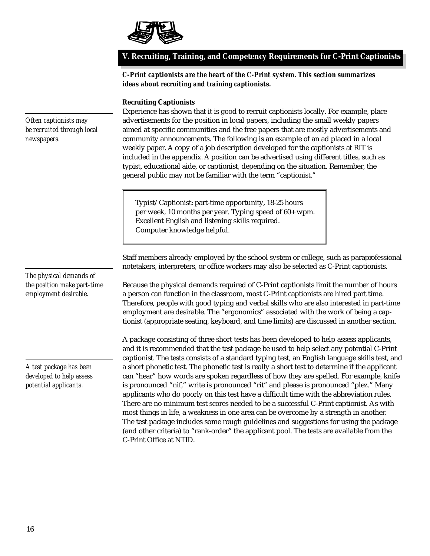

### **V. Recruiting, Training, and Competency Requirements for C-Print Captionists**

*C-Print captionists are the heart of the C-Print system. This section summarizes ideas about recruiting and training captionists.*

### **Recruiting Captionists**

Experience has shown that it is good to recruit captionists locally. For example, place advertisements for the position in local papers, including the small weekly papers aimed at specific communities and the free papers that are mostly advertisements and community announcements. The following is an example of an ad placed in a local weekly paper. A copy of a job description developed for the captionists at RIT is included in the appendix. A position can be advertised using different titles, such as typist, educational aide, or captionist, depending on the situation. Remember, the general public may not be familiar with the term "captionist."

Typist/Captionist: part-time opportunity, 18-25 hours per week, 10 months per year. Typing speed of 60+ wpm. Excellent English and listening skills required. Computer knowledge helpful.

Staff members already employed by the school system or college, such as paraprofessional notetakers, interpreters, or office workers may also be selected as C-Print captionists.

Because the physical demands required of C-Print captionists limit the number of hours a person can function in the classroom, most C-Print captionists are hired part time. Therefore, people with good typing and verbal skills who are also interested in part-time employment are desirable. The "ergonomics" associated with the work of being a captionist (appropriate seating, keyboard, and time limits) are discussed in another section.

A package consisting of three short tests has been developed to help assess applicants, and it is recommended that the test package be used to help select any potential C-Print captionist. The tests consists of a standard typing test, an English language skills test, and a short phonetic test. The phonetic test is really a short test to determine if the applicant can "hear" how words are spoken regardless of how they are spelled. For example, knife is pronounced "nif," write is pronounced "rit" and please is pronounced "plez." Many applicants who do poorly on this test have a difficult time with the abbreviation rules. There are no minimum test scores needed to be a successful C-Print captionist. As with most things in life, a weakness in one area can be overcome by a strength in another. The test package includes some rough guidelines and suggestions for using the package (and other criteria) to "rank-order" the applicant pool. The tests are available from the C-Print Office at NTID.

*Often captionists may be recruited through local newspapers.*

*The physical demands of the position make part-time employment desirable.*

*A test package has been developed to help assess potential applicants.*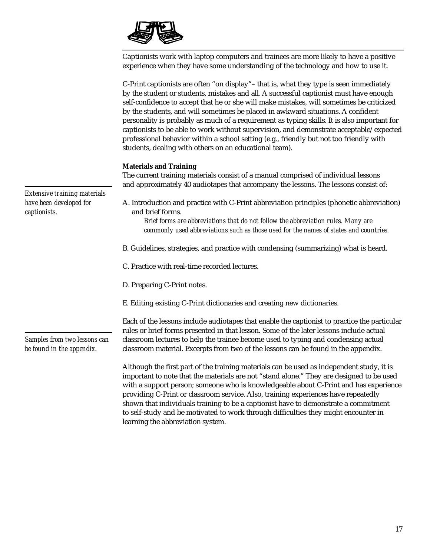

Captionists work with laptop computers and trainees are more likely to have a positive experience when they have some understanding of the technology and how to use it.

|                                                                         | C-Print captionists are often "on display" – that is, what they type is seen immediately<br>by the student or students, mistakes and all. A successful captionist must have enough<br>self-confidence to accept that he or she will make mistakes, will sometimes be criticized<br>by the students, and will sometimes be placed in awkward situations. A confident<br>personality is probably as much of a requirement as typing skills. It is also important for<br>captionists to be able to work without supervision, and demonstrate acceptable/expected<br>professional behavior within a school setting (e.g., friendly but not too friendly with<br>students, dealing with others on an educational team). |
|-------------------------------------------------------------------------|--------------------------------------------------------------------------------------------------------------------------------------------------------------------------------------------------------------------------------------------------------------------------------------------------------------------------------------------------------------------------------------------------------------------------------------------------------------------------------------------------------------------------------------------------------------------------------------------------------------------------------------------------------------------------------------------------------------------|
|                                                                         | <b>Materials and Training</b><br>The current training materials consist of a manual comprised of individual lessons<br>and approximately 40 audiotapes that accompany the lessons. The lessons consist of:                                                                                                                                                                                                                                                                                                                                                                                                                                                                                                         |
| Extensive training materials<br>have been developed for<br>captionists. | A. Introduction and practice with C-Print abbreviation principles (phonetic abbreviation)<br>and brief forms.<br>Brief forms are abbreviations that do not follow the abbreviation rules. Many are                                                                                                                                                                                                                                                                                                                                                                                                                                                                                                                 |
|                                                                         | commonly used abbreviations such as those used for the names of states and countries.<br>B. Guidelines, strategies, and practice with condensing (summarizing) what is heard.                                                                                                                                                                                                                                                                                                                                                                                                                                                                                                                                      |
|                                                                         | C. Practice with real-time recorded lectures.                                                                                                                                                                                                                                                                                                                                                                                                                                                                                                                                                                                                                                                                      |
|                                                                         | D. Preparing C-Print notes.                                                                                                                                                                                                                                                                                                                                                                                                                                                                                                                                                                                                                                                                                        |
|                                                                         | E. Editing existing C-Print dictionaries and creating new dictionaries.                                                                                                                                                                                                                                                                                                                                                                                                                                                                                                                                                                                                                                            |
| Samples from two lessons can                                            | Each of the lessons include audiotapes that enable the captionist to practice the particular<br>rules or brief forms presented in that lesson. Some of the later lessons include actual<br>classroom lectures to help the trainee become used to typing and condensing actual                                                                                                                                                                                                                                                                                                                                                                                                                                      |
| be found in the appendix.                                               | classroom material. Excerpts from two of the lessons can be found in the appendix.<br>Although the first part of the training materials can be used as independent study, it is<br>important to note that the materials are not "stand alone." They are designed to be used<br>with a support person; someone who is knowledgeable about C-Print and has experience<br>providing C-Print or classroom service. Also, training experiences have repeatedly<br>shown that individuals training to be a captionist have to demonstrate a commitment<br>to self-study and be motivated to work through difficulties they might encounter in                                                                            |

learning the abbreviation system.

17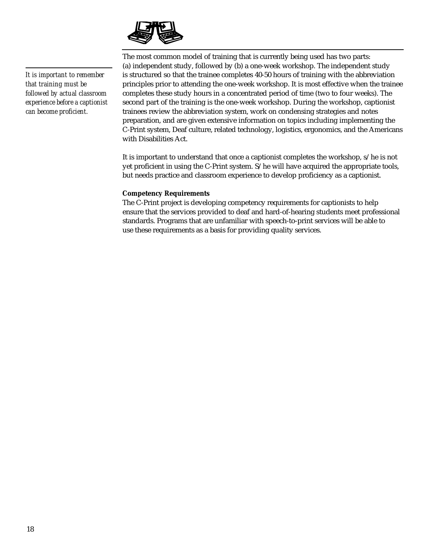

*It is important to remember that training must be followed by actual classroom experience before a captionist can become proficient.*

The most common model of training that is currently being used has two parts: (a) independent study, followed by (b) a one-week workshop. The independent study is structured so that the trainee completes 40-50 hours of training with the abbreviation principles prior to attending the one-week workshop. It is most effective when the trainee completes these study hours in a concentrated period of time (two to four weeks). The second part of the training is the one-week workshop. During the workshop, captionist trainees review the abbreviation system, work on condensing strategies and notes preparation, and are given extensive information on topics including implementing the C-Print system, Deaf culture, related technology, logistics, ergonomics, and the Americans with Disabilities Act.

It is important to understand that once a captionist completes the workshop, s/he is not yet proficient in using the C-Print system. S/he will have acquired the appropriate tools, but needs practice and classroom experience to develop proficiency as a captionist.

### **Competency Requirements**

The C-Print project is developing competency requirements for captionists to help ensure that the services provided to deaf and hard-of-hearing students meet professional standards. Programs that are unfamiliar with speech-to-print services will be able to use these requirements as a basis for providing quality services.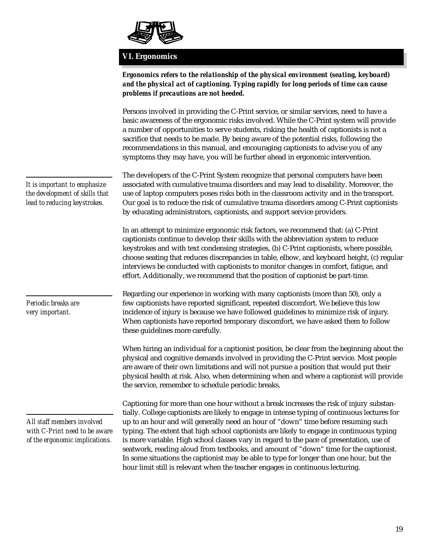

## **VI. Ergonomics**

|                                                                                                | Ergonomics refers to the relationship of the physical environment (seating, keyboard)<br>and the physical act of captioning. Typing rapidly for long periods of time can cause<br>problems if precautions are not heeded.                                                                                                                                                                                                                                                                                                                                                                                                                                  |
|------------------------------------------------------------------------------------------------|------------------------------------------------------------------------------------------------------------------------------------------------------------------------------------------------------------------------------------------------------------------------------------------------------------------------------------------------------------------------------------------------------------------------------------------------------------------------------------------------------------------------------------------------------------------------------------------------------------------------------------------------------------|
|                                                                                                | Persons involved in providing the C-Print service, or similar services, need to have a<br>basic awareness of the ergonomic risks involved. While the C-Print system will provide<br>a number of opportunities to serve students, risking the health of captionists is not a<br>sacrifice that needs to be made. By being aware of the potential risks, following the<br>recommendations in this manual, and encouraging captionists to advise you of any<br>symptoms they may have, you will be further ahead in ergonomic intervention.                                                                                                                   |
| It is important to emphasize<br>the development of skills that<br>lead to reducing keystrokes. | The developers of the C-Print System recognize that personal computers have been<br>associated with cumulative trauma disorders and may lead to disability. Moreover, the<br>use of laptop computers poses risks both in the classroom activity and in the transport.<br>Our goal is to reduce the risk of cumulative trauma disorders among C-Print captionists<br>by educating administrators, captionists, and support service providers.                                                                                                                                                                                                               |
|                                                                                                | In an attempt to minimize ergonomic risk factors, we recommend that: (a) C-Print<br>captionists continue to develop their skills with the abbreviation system to reduce<br>keystrokes and with text condensing strategies, (b) C-Print captionists, where possible,<br>choose seating that reduces discrepancies in table, elbow, and keyboard height, (c) regular<br>interviews be conducted with captionists to monitor changes in comfort, fatigue, and<br>effort. Additionally, we recommend that the position of captionist be part-time.                                                                                                             |
| Periodic breaks are<br>very important.                                                         | Regarding our experience in working with many captionists (more than 50), only a<br>few captionists have reported significant, repeated discomfort. We believe this low<br>incidence of injury is because we have followed guidelines to minimize risk of injury.<br>When captionists have reported temporary discomfort, we have asked them to follow<br>these guidelines more carefully.                                                                                                                                                                                                                                                                 |
|                                                                                                | When hiring an individual for a captionist position, be clear from the beginning about the<br>physical and cognitive demands involved in providing the C-Print service. Most people<br>are aware of their own limitations and will not pursue a position that would put their<br>physical health at risk. Also, when determining when and where a captionist will provide<br>the service, remember to schedule periodic breaks.                                                                                                                                                                                                                            |
| All staff members involved<br>with C-Print need to be aware<br>of the ergonomic implications.  | Captioning for more than one hour without a break increases the risk of injury substan-<br>tially. College captionists are likely to engage in intense typing of continuous lectures for<br>up to an hour and will generally need an hour of "down" time before resuming such<br>typing. The extent that high school captionists are likely to engage in continuous typing<br>is more variable. High school classes vary in regard to the pace of presentation, use of<br>seatwork, reading aloud from textbooks, and amount of "down" time for the captionist.<br>In some situations the captionist may be able to type for longer than one hour, but the |

hour limit still is relevant when the teacher engages in continuous lecturing.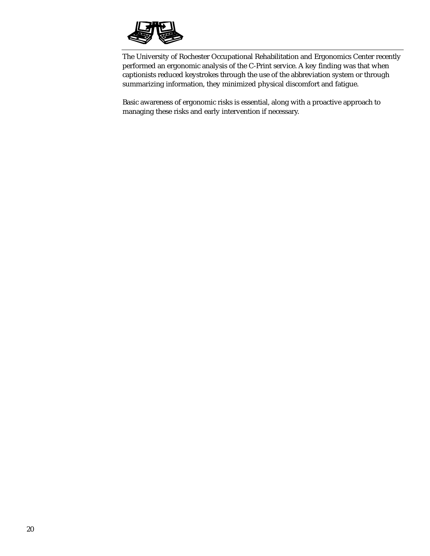

The University of Rochester Occupational Rehabilitation and Ergonomics Center recently performed an ergonomic analysis of the C-Print service. A key finding was that when captionists reduced keystrokes through the use of the abbreviation system or through summarizing information, they minimized physical discomfort and fatigue.

Basic awareness of ergonomic risks is essential, along with a proactive approach to managing these risks and early intervention if necessary.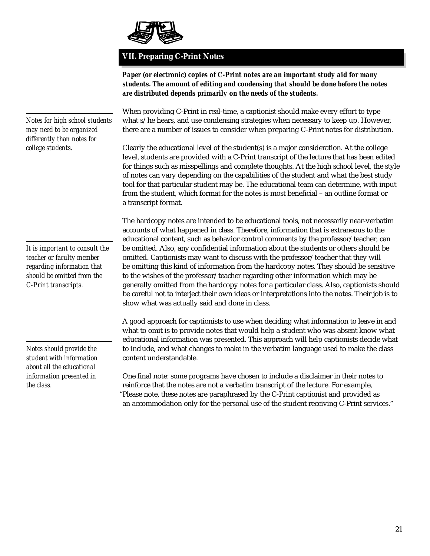

## **VII. Preparing C-Print Notes**

*Paper (or electronic) copies of C-Print notes are an important study aid for many students. The amount of editing and condensing that should be done before the notes are distributed depends primarily on the needs of the students.*

*Notes for high school students may need to be organized differently than notes for college students.*

*It is important to consult the teacher or faculty member regarding information that should be omitted from the C-Print transcripts.*

*Notes should provide the student with information about all the educational information presented in the class.*

When providing C-Print in real-time, a captionist should make every effort to type what s/he hears, and use condensing strategies when necessary to keep up. However, there are a number of issues to consider when preparing C-Print notes for distribution.

Clearly the educational level of the student(s) is a major consideration. At the college level, students are provided with a C-Print transcript of the lecture that has been edited for things such as misspellings and complete thoughts. At the high school level, the style of notes can vary depending on the capabilities of the student and what the best study tool for that particular student may be. The educational team can determine, with input from the student, which format for the notes is most beneficial – an outline format or a transcript format.

The hardcopy notes are intended to be educational tools, not necessarily near-verbatim accounts of what happened in class. Therefore, information that is extraneous to the educational content, such as behavior control comments by the professor/teacher, can be omitted. Also, any confidential information about the students or others should be omitted. Captionists may want to discuss with the professor/teacher that they will be omitting this kind of information from the hardcopy notes. They should be sensitive to the wishes of the professor/teacher regarding other information which may be generally omitted from the hardcopy notes for a particular class. Also, captionists should be careful not to interject their own ideas or interpretations into the notes. Their job is to show what was actually said and done in class.

A good approach for captionists to use when deciding what information to leave in and what to omit is to provide notes that would help a student who was absent know what educational information was presented. This approach will help captionists decide what to include, and what changes to make in the verbatim language used to make the class content understandable.

One final note: some programs have chosen to include a disclaimer in their notes to reinforce that the notes are not a verbatim transcript of the lecture. For example, "Please note, these notes are paraphrased by the C-Print captionist and provided as an accommodation only for the personal use of the student receiving C-Print services."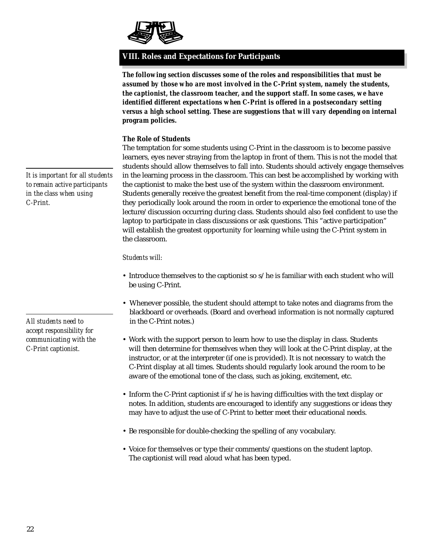

### **VIII. Roles and Expectations for Participants**

*The following section discusses some of the roles and responsibilities that must be assumed by those who are most involved in the C-Print system, namely the students, the captionist, the classroom teacher, and the support staff. In some cases, we have identified different expectations when C-Print is offered in a postsecondary setting versus a high school setting. These are suggestions that will vary depending on internal program policies.*

### **The Role of Students**

The temptation for some students using C-Print in the classroom is to become passive learners, eyes never straying from the laptop in front of them. This is not the model that students should allow themselves to fall into. Students should actively engage themselves in the learning process in the classroom. This can best be accomplished by working with the captionist to make the best use of the system within the classroom environment. Students generally receive the greatest benefit from the real-time component (display) if they periodically look around the room in order to experience the emotional tone of the lecture/discussion occurring during class. Students should also feel confident to use the laptop to participate in class discussions or ask questions. This "active participation" will establish the greatest opportunity for learning while using the C-Print system in the classroom.

### *Students will:*

- Introduce themselves to the captionist so s/he is familiar with each student who will be using C-Print.
- Whenever possible, the student should attempt to take notes and diagrams from the blackboard or overheads. (Board and overhead information is not normally captured in the C-Print notes.)
- Work with the support person to learn how to use the display in class. Students will then determine for themselves when they will look at the C-Print display, at the instructor, or at the interpreter (if one is provided). It is not necessary to watch the C-Print display at all times. Students should regularly look around the room to be aware of the emotional tone of the class, such as joking, excitement, etc.
- Inform the C-Print captionist if s/he is having difficulties with the text display or notes. In addition, students are encouraged to identify any suggestions or ideas they may have to adjust the use of C-Print to better meet their educational needs.
- Be responsible for double-checking the spelling of any vocabulary.
- Voice for themselves or type their comments/questions on the student laptop. The captionist will read aloud what has been typed.

*It is important for all students to remain active participants in the class when using C-Print.*

*All students need to accept responsibility for communicating with the C-Print captionist.*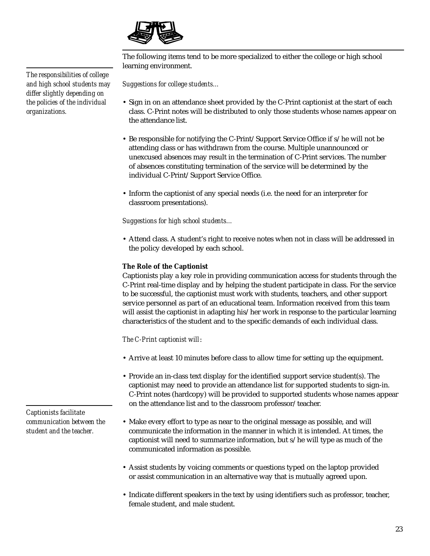

The following items tend to be more specialized to either the college or high school learning environment.

*Suggestions for college students…*

- Sign in on an attendance sheet provided by the C-Print captionist at the start of each class. C-Print notes will be distributed to only those students whose names appear on the attendance list.
- Be responsible for notifying the C-Print/Support Service Office if s/he will not be attending class or has withdrawn from the course. Multiple unannounced or unexcused absences may result in the termination of C-Print services. The number of absences constituting termination of the service will be determined by the individual C-Print/Support Service Office.
- Inform the captionist of any special needs (i.e. the need for an interpreter for classroom presentations).

*Suggestions for high school students…*

• Attend class. A student's right to receive notes when not in class will be addressed in the policy developed by each school.

### **The Role of the Captionist**

Captionists play a key role in providing communication access for students through the C-Print real-time display and by helping the student participate in class. For the service to be successful, the captionist must work with students, teachers, and other support service personnel as part of an educational team. Information received from this team will assist the captionist in adapting his/her work in response to the particular learning characteristics of the student and to the specific demands of each individual class.

*The C-Print captionist will*:

- Arrive at least 10 minutes before class to allow time for setting up the equipment.
- Provide an in-class text display for the identified support service student(s). The captionist may need to provide an attendance list for supported students to sign-in. C-Print notes (hardcopy) will be provided to supported students whose names appear on the attendance list and to the classroom professor/teacher.
- Make every effort to type as near to the original message as possible, and will communicate the information in the manner in which it is intended. At times, the captionist will need to summarize information, but s/he will type as much of the communicated information as possible.
- Assist students by voicing comments or questions typed on the laptop provided or assist communication in an alternative way that is mutually agreed upon.
- Indicate different speakers in the text by using identifiers such as professor, teacher, female student, and male student.

*The responsibilities of college and high school students may differ slightly depending on the policies of the individual organizations.*

*Captionists facilitate communication between the student and the teacher.*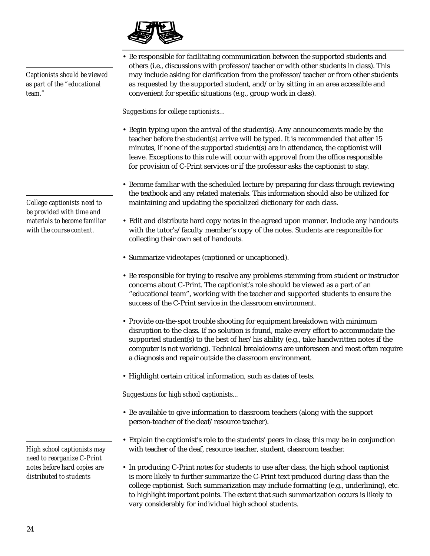*materials to become familiar*

*Captionists should be viewed as part of the "educational team."*

*College captionists need to be provided with time and with the course content.*

*High school captionists may need to reorganize C-Print notes before hard copies are distributed to students*

• Be responsible for facilitating communication between the supported students and others (i.e., discussions with professor/teacher or with other students in class). This may include asking for clarification from the professor/teacher or from other students as requested by the supported student, and/or by sitting in an area accessible and convenient for specific situations (e.g., group work in class).

*Suggestions for college captionists…*

- Begin typing upon the arrival of the student(s). Any announcements made by the teacher before the student(s) arrive will be typed. It is recommended that after 15 minutes, if none of the supported student(s) are in attendance, the captionist will leave. Exceptions to this rule will occur with approval from the office responsible for provision of C-Print services or if the professor asks the captionist to stay.
- Become familiar with the scheduled lecture by preparing for class through reviewing the textbook and any related materials. This information should also be utilized for maintaining and updating the specialized dictionary for each class.
- Edit and distribute hard copy notes in the agreed upon manner. Include any handouts with the tutor's/faculty member's copy of the notes. Students are responsible for collecting their own set of handouts.
- Summarize videotapes (captioned or uncaptioned).
- Be responsible for trying to resolve any problems stemming from student or instructor concerns about C-Print. The captionist's role should be viewed as a part of an "educational team", working with the teacher and supported students to ensure the success of the C-Print service in the classroom environment.
- Provide on-the-spot trouble shooting for equipment breakdown with minimum disruption to the class. If no solution is found, make every effort to accommodate the supported student(s) to the best of her/his ability (e.g., take handwritten notes if the computer is not working). Technical breakdowns are unforeseen and most often require a diagnosis and repair outside the classroom environment.
- Highlight certain critical information, such as dates of tests.

*Suggestions for high school captionists...*

- Be available to give information to classroom teachers (along with the support person-teacher of the deaf/resource teacher).
- Explain the captionist's role to the students' peers in class; this may be in conjunction with teacher of the deaf, resource teacher, student, classroom teacher.
- In producing C-Print notes for students to use after class, the high school captionist is more likely to further summarize the C-Print text produced during class than the college captionist. Such summarization may include formatting (e.g., underlining), etc. to highlight important points. The extent that such summarization occurs is likely to vary considerably for individual high school students.

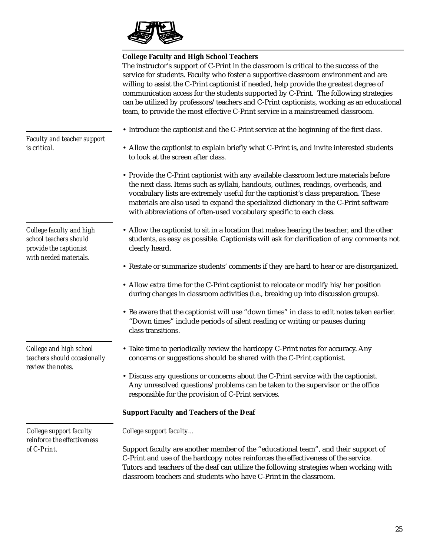

### **College Faculty and High School Teachers**

The instructor's support of C-Print in the classroom is critical to the success of the service for students. Faculty who foster a supportive classroom environment and are willing to assist the C-Print captionist if needed, help provide the greatest degree of communication access for the students supported by C-Print. The following strategies can be utilized by professors/teachers and C-Print captionists, working as an educational team, to provide the most effective C-Print service in a mainstreamed classroom.

- Introduce the captionist and the C-Print service at the beginning of the first class.
	- Allow the captionist to explain briefly what C-Print is, and invite interested students to look at the screen after class.
	- Provide the C-Print captionist with any available classroom lecture materials before the next class. Items such as syllabi, handouts, outlines, readings, overheads, and vocabulary lists are extremely useful for the captionist's class preparation. These materials are also used to expand the specialized dictionary in the C-Print software with abbreviations of often-used vocabulary specific to each class.
	- Allow the captionist to sit in a location that makes hearing the teacher, and the other students, as easy as possible. Captionists will ask for clarification of any comments not clearly heard.
	- Restate or summarize students' comments if they are hard to hear or are disorganized.
	- Allow extra time for the C-Print captionist to relocate or modify his/her position during changes in classroom activities (i.e., breaking up into discussion groups).
	- Be aware that the captionist will use "down times" in class to edit notes taken earlier. "Down times" include periods of silent reading or writing or pauses during class transitions.
	- Take time to periodically review the hardcopy C-Print notes for accuracy. Any concerns or suggestions should be shared with the C-Print captionist.
	- Discuss any questions or concerns about the C-Print service with the captionist. Any unresolved questions/problems can be taken to the supervisor or the office responsible for the provision of C-Print services.

### **Support Faculty and Teachers of the Deaf**

*College support faculty…*

Support faculty are another member of the "educational team", and their support of C-Print and use of the hardcopy notes reinforces the effectiveness of the service. Tutors and teachers of the deaf can utilize the following strategies when working with classroom teachers and students who have C-Print in the classroom.

*Faculty and teacher support is critical.*

*College faculty and high school teachers should provide the captionist with needed materials.*

*College and high school teachers should occasionally review the notes.*

*College support faculty reinforce the effectiveness of C-Print.*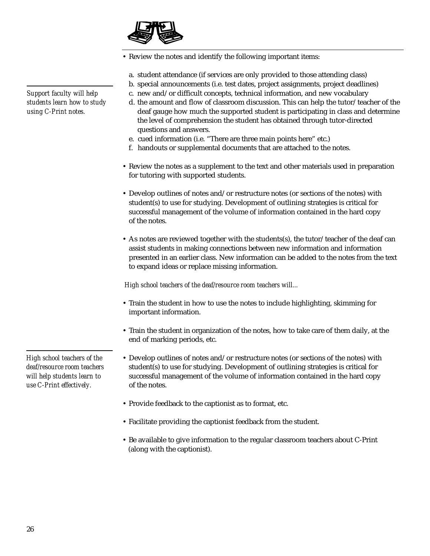

• Review the notes and identify the following important items:

- a. student attendance (if services are only provided to those attending class)
- b. special announcements (i.e. test dates, project assignments, project deadlines)
- c. new and/or difficult concepts, technical information, and new vocabulary
- d. the amount and flow of classroom discussion. This can help the tutor/teacher of the deaf gauge how much the supported student is participating in class and determine the level of comprehension the student has obtained through tutor-directed questions and answers.
- e. cued information (i.e. "There are three main points here" etc.)
- f. handouts or supplemental documents that are attached to the notes.
- Review the notes as a supplement to the text and other materials used in preparation for tutoring with supported students.
- Develop outlines of notes and/or restructure notes (or sections of the notes) with student(s) to use for studying. Development of outlining strategies is critical for successful management of the volume of information contained in the hard copy of the notes.
- As notes are reviewed together with the students(s), the tutor/teacher of the deaf can assist students in making connections between new information and information presented in an earlier class. New information can be added to the notes from the text to expand ideas or replace missing information.

*High school teachers of the deaf/resource room teachers will...*

- Train the student in how to use the notes to include highlighting, skimming for important information.
- Train the student in organization of the notes, how to take care of them daily, at the end of marking periods, etc.
- Develop outlines of notes and/or restructure notes (or sections of the notes) with student(s) to use for studying. Development of outlining strategies is critical for successful management of the volume of information contained in the hard copy of the notes.
- Provide feedback to the captionist as to format, etc.
- Facilitate providing the captionist feedback from the student.
- Be available to give information to the regular classroom teachers about C-Print (along with the captionist).

*Support faculty will help students learn how to study using C-Print notes.*

*High school teachers of the deaf/resource room teachers will help students learn to use C-Print effectively.*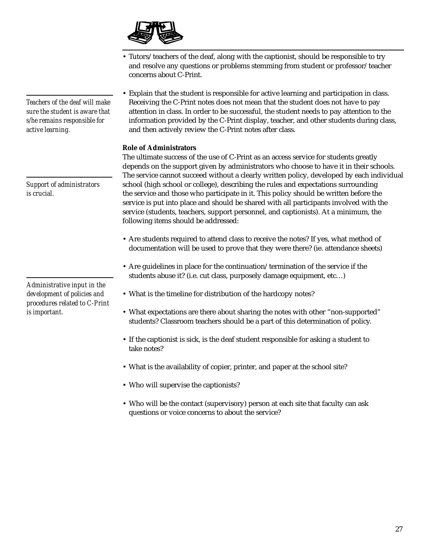

- Tutors/teachers of the deaf, along with the captionist, should be responsible to try and resolve any questions or problems stemming from student or professor/teacher concerns about C-Print.
- Explain that the student is responsible for active learning and participation in class. Receiving the C-Print notes does not mean that the student does not have to pay attention in class. In order to be successful, the student needs to pay attention to the information provided by the C-Print display, teacher, and other students during class, and then actively review the C-Print notes after class.

### **Role of Administrators**

The ultimate success of the use of C-Print as an access service for students greatly depends on the support given by administrators who choose to have it in their schools. The service cannot succeed without a clearly written policy, developed by each individual school (high school or college), describing the rules and expectations surrounding the service and those who participate in it. This policy should be written before the service is put into place and should be shared with all participants involved with the service (students, teachers, support personnel, and captionists). At a minimum, the following items should be addressed:

- Are students required to attend class to receive the notes? If yes, what method of documentation will be used to prove that they were there? (ie. attendance sheets)
- Are guidelines in place for the continuation/termination of the service if the students abuse it? (i.e. cut class, purposely damage equipment, etc…)
- What is the timeline for distribution of the hardcopy notes?
- What expectations are there about sharing the notes with other "non-supported" students? Classroom teachers should be a part of this determination of policy.
- If the captionist is sick, is the deaf student responsible for asking a student to take notes?
- What is the availability of copier, printer, and paper at the school site?
- Who will supervise the captionists?
- Who will be the contact (supervisory) person at each site that faculty can ask questions or voice concerns to about the service?

*Teachers of the deaf will make sure the student is aware that s/he remains responsible for active learning.*

*Support of administrators is crucial.*

*Administrative input in the development of policies and procedures related to C-Print is important.*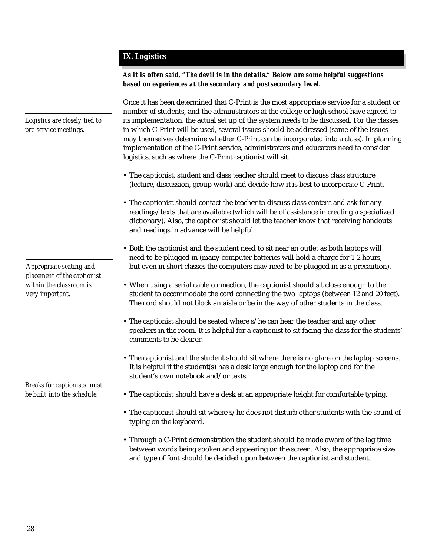### **IX. Logistics**

*As it is often said, "The devil is in the details." Below are some helpful suggestions based on experiences at the secondary and postsecondary level.*

Once it has been determined that C-Print is the most appropriate service for a student or number of students, and the administrators at the college or high school have agreed to its implementation, the actual set up of the system needs to be discussed. For the classes in which C-Print will be used, several issues should be addressed (some of the issues may themselves determine whether C-Print can be incorporated into a class). In planning implementation of the C-Print service, administrators and educators need to consider logistics, such as where the C-Print captionist will sit.

- The captionist, student and class teacher should meet to discuss class structure (lecture, discussion, group work) and decide how it is best to incorporate C-Print.
- The captionist should contact the teacher to discuss class content and ask for any readings/texts that are available (which will be of assistance in creating a specialized dictionary). Also, the captionist should let the teacher know that receiving handouts and readings in advance will be helpful.
- Both the captionist and the student need to sit near an outlet as both laptops will need to be plugged in (many computer batteries will hold a charge for 1-2 hours, but even in short classes the computers may need to be plugged in as a precaution).
- When using a serial cable connection, the captionist should sit close enough to the student to accommodate the cord connecting the two laptops (between 12 and 20 feet). The cord should not block an aisle or be in the way of other students in the class.
- The captionist should be seated where s/he can hear the teacher and any other speakers in the room. It is helpful for a captionist to sit facing the class for the students' comments to be clearer.
- The captionist and the student should sit where there is no glare on the laptop screens. It is helpful if the student(s) has a desk large enough for the laptop and for the student's own notebook and/or texts.
- *Breaks for captionists must be built into the schedule.*
- The captionist should have a desk at an appropriate height for comfortable typing.
- The captionist should sit where s/he does not disturb other students with the sound of typing on the keyboard.
- Through a C-Print demonstration the student should be made aware of the lag time between words being spoken and appearing on the screen. Also, the appropriate size and type of font should be decided upon between the captionist and student.

*Logistics are closely tied to pre-service meetings.*

*Appropriate seating and placement of the captionist within the classroom is very important.*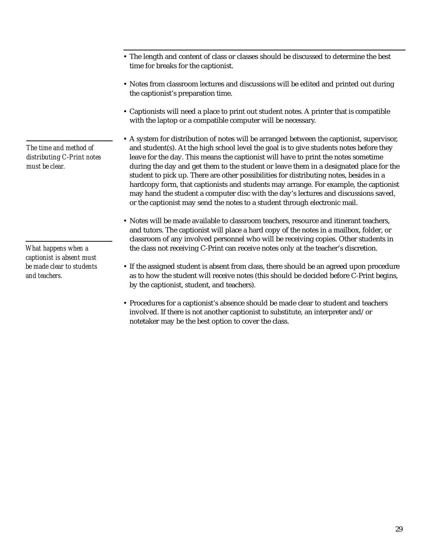*The time and method of distributing C-Print notes must be clear.*

*What happens when a captionist is absent must be made clear to students and teachers.*

- The length and content of class or classes should be discussed to determine the best time for breaks for the captionist.
- Notes from classroom lectures and discussions will be edited and printed out during the captionist's preparation time.
- Captionists will need a place to print out student notes. A printer that is compatible with the laptop or a compatible computer will be necessary.
- A system for distribution of notes will be arranged between the captionist, supervisor, and student(s). At the high school level the goal is to give students notes before they leave for the day. This means the captionist will have to print the notes sometime during the day and get them to the student or leave them in a designated place for the student to pick up. There are other possibilities for distributing notes, besides in a hardcopy form, that captionists and students may arrange. For example, the captionist may hand the student a computer disc with the day's lectures and discussions saved, or the captionist may send the notes to a student through electronic mail.
- Notes will be made available to classroom teachers, resource and itinerant teachers, and tutors. The captionist will place a hard copy of the notes in a mailbox, folder, or classroom of any involved personnel who will be receiving copies. Other students in the class not receiving C-Print can receive notes only at the teacher's discretion.
- If the assigned student is absent from class, there should be an agreed upon procedure as to how the student will receive notes (this should be decided before C-Print begins, by the captionist, student, and teachers).
- Procedures for a captionist's absence should be made clear to student and teachers involved. If there is not another captionist to substitute, an interpreter and/or notetaker may be the best option to cover the class.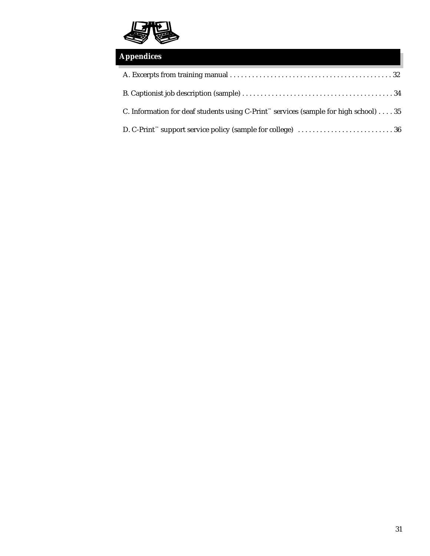

| <b>Appendices</b>                                                                                                |  |  |  |
|------------------------------------------------------------------------------------------------------------------|--|--|--|
|                                                                                                                  |  |  |  |
|                                                                                                                  |  |  |  |
| C. Information for deaf students using C-Print <sup><math>\sim</math></sup> services (sample for high school) 35 |  |  |  |
|                                                                                                                  |  |  |  |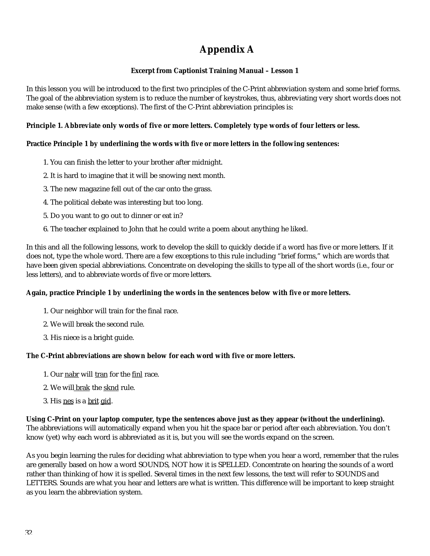## **Appendix A**

### **Excerpt from Captionist Training Manual – Lesson 1**

In this lesson you will be introduced to the first two principles of the C-Print abbreviation system and some brief forms. The goal of the abbreviation system is to reduce the number of keystrokes, thus, abbreviating very short words does not make sense (with a few exceptions). The first of the C-Print abbreviation principles is:

### **Principle 1. Abbreviate only words of five or more letters. Completely type words of four letters or less.**

### **Practice Principle 1 by underlining the words with** *five or more* **letters in the following sentences:**

- 1. You can finish the letter to your brother after midnight.
- 2. It is hard to imagine that it will be snowing next month.
- 3. The new magazine fell out of the car onto the grass.
- 4. The political debate was interesting but too long.
- 5. Do you want to go out to dinner or eat in?
- 6. The teacher explained to John that he could write a poem about anything he liked.

In this and all the following lessons, work to develop the skill to quickly decide if a word has five or more letters. If it does not, type the whole word. There are a few exceptions to this rule including "brief forms," which are words that have been given special abbreviations. Concentrate on developing the skills to type all of the short words (i.e., four or less letters), and to abbreviate words of five or more letters.

### **Again, practice Principle 1 by underlining the words in the sentences below with** *five or more* **letters.**

- 1. Our neighbor will train for the final race.
- 2. We will break the second rule.
- 3. His niece is a bright guide.

### **The C-Print abbreviations are shown below for each word with five or more letters.**

- 1. Our nabr will tran for the finl race.
- 2. We will brak the sknd rule.
- 3. His nes is a brit gid.

**Using C-Print on your laptop computer, type the sentences above just as they appear (without the underlining).** The abbreviations will automatically expand when you hit the space bar or period after each abbreviation. You don't know (yet) why each word is abbreviated as it is, but you will see the words expand on the screen.

As you begin learning the rules for deciding what abbreviation to type when you hear a word, remember that the rules are generally based on how a word SOUNDS, NOT how it is SPELLED. Concentrate on hearing the sounds of a word rather than thinking of how it is spelled. Several times in the next few lessons, the text will refer to SOUNDS and LETTERS. Sounds are what you hear and letters are what is written. This difference will be important to keep straight as you learn the abbreviation system.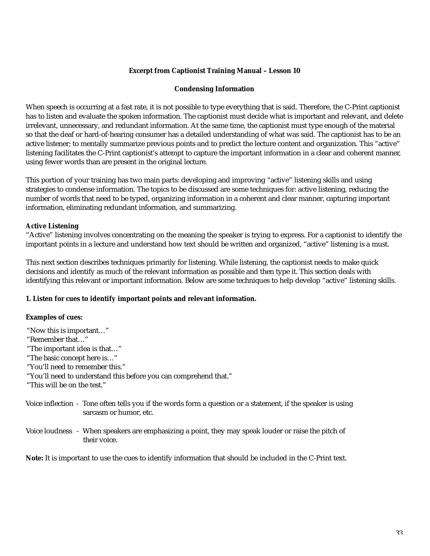### **Excerpt from Captionist Training Manual – Lesson 10**

### **Condensing Information**

When speech is occurring at a fast rate, it is not possible to type everything that is said. Therefore, the C-Print captionist has to listen and evaluate the spoken information. The captionist must decide what is important and relevant, and delete irrelevant, unnecessary, and redundant information. At the same time, the captionist must type enough of the material so that the deaf or hard-of-hearing consumer has a detailed understanding of what was said. The captionist has to be an active listener; to mentally summarize previous points and to predict the lecture content and organization. This "active" listening facilitates the C-Print captionist's attempt to capture the important information in a clear and coherent manner, using fewer words than are present in the original lecture.

This portion of your training has two main parts: developing and improving "active" listening skills and using strategies to condense information. The topics to be discussed are some techniques for: active listening, reducing the number of words that need to be typed, organizing information in a coherent and clear manner, capturing important information, eliminating redundant information, and summarizing.

### **Active Listening**

"Active" listening involves concentrating on the meaning the speaker is trying to express. For a captionist to identify the important points in a lecture and understand how text should be written and organized, "active" listening is a must.

This next section describes techniques primarily for listening. While listening, the captionist needs to make quick decisions and identify as much of the relevant information as possible and then type it. This section deals with identifying this relevant or important information. Below are some techniques to help develop "active" listening skills.

### **1. Listen for cues to identify important points and relevant information.**

### **Examples of cues:**

| "Now this is important"                                                                                                                                                               |  |  |  |  |                             |                                                                                                              |
|---------------------------------------------------------------------------------------------------------------------------------------------------------------------------------------|--|--|--|--|-----------------------------|--------------------------------------------------------------------------------------------------------------|
| "Remember that"<br>"The important idea is that"<br>"The basic concept here is"<br>"You'll need to remember this."<br>"You'll need to understand this before you can comprehend that." |  |  |  |  |                             |                                                                                                              |
|                                                                                                                                                                                       |  |  |  |  | "This will be on the test." |                                                                                                              |
|                                                                                                                                                                                       |  |  |  |  | sarcasm or humor, etc.      | Voice inflection - Tone often tells you if the words form a question or a statement, if the speaker is using |

Voice loudness - When speakers are emphasizing a point, they may speak louder or raise the pitch of their voice.

**Note:** It is important to use the cues to identify information that should be included in the C-Print text.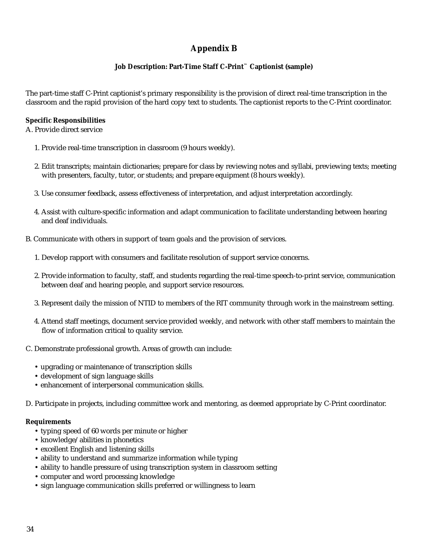## **Appendix B**

### **Job Description: Part-Time Staff C-Print™ Captionist (sample)**

The part-time staff C-Print captionist's primary responsibility is the provision of direct real-time transcription in the classroom and the rapid provision of the hard copy text to students. The captionist reports to the C-Print coordinator.

### **Specific Responsibilities**

A. Provide direct service

- 1. Provide real-time transcription in classroom (9 hours weekly).
- 2. Edit transcripts; maintain dictionaries; prepare for class by reviewing notes and syllabi, previewing texts; meeting with presenters, faculty, tutor, or students; and prepare equipment (8 hours weekly).
- 3. Use consumer feedback, assess effectiveness of interpretation, and adjust interpretation accordingly.
- 4. Assist with culture-specific information and adapt communication to facilitate understanding between hearing and deaf individuals.
- B. Communicate with others in support of team goals and the provision of services.
	- 1. Develop rapport with consumers and facilitate resolution of support service concerns.
	- 2. Provide information to faculty, staff, and students regarding the real-time speech-to-print service, communication between deaf and hearing people, and support service resources.
	- 3. Represent daily the mission of NTID to members of the RIT community through work in the mainstream setting.
	- 4. Attend staff meetings, document service provided weekly, and network with other staff members to maintain the flow of information critical to quality service.
- C. Demonstrate professional growth. Areas of growth can include:
	- upgrading or maintenance of transcription skills
	- development of sign language skills
	- enhancement of interpersonal communication skills.
- D. Participate in projects, including committee work and mentoring, as deemed appropriate by C-Print coordinator.

### **Requirements**

- typing speed of 60 words per minute or higher
- knowledge/abilities in phonetics
- excellent English and listening skills
- ability to understand and summarize information while typing
- ability to handle pressure of using transcription system in classroom setting
- computer and word processing knowledge
- sign language communication skills preferred or willingness to learn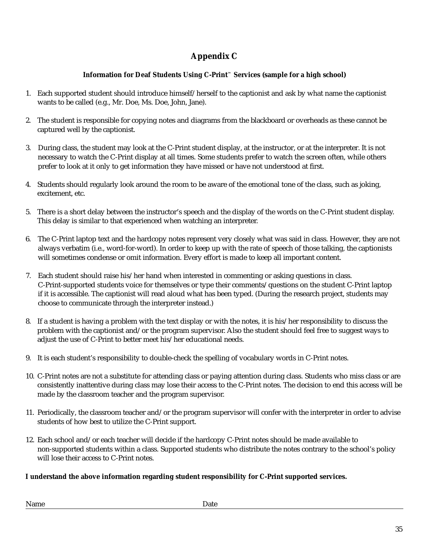## **Appendix C**

### **Information for Deaf Students Using C-Print™ Services (sample for a high school)**

- 1. Each supported student should introduce himself/herself to the captionist and ask by what name the captionist wants to be called (e.g., Mr. Doe, Ms. Doe, John, Jane).
- 2. The student is responsible for copying notes and diagrams from the blackboard or overheads as these cannot be captured well by the captionist.
- 3. During class, the student may look at the C-Print student display, at the instructor, or at the interpreter. It is not necessary to watch the C-Print display at all times. Some students prefer to watch the screen often, while others prefer to look at it only to get information they have missed or have not understood at first.
- 4. Students should regularly look around the room to be aware of the emotional tone of the class, such as joking, excitement, etc.
- 5. There is a short delay between the instructor's speech and the display of the words on the C-Print student display. This delay is similar to that experienced when watching an interpreter.
- 6. The C-Print laptop text and the hardcopy notes represent very closely what was said in class. However, they are not always verbatim (i.e., word-for-word). In order to keep up with the rate of speech of those talking, the captionists will sometimes condense or omit information. Every effort is made to keep all important content.
- 7. Each student should raise his/her hand when interested in commenting or asking questions in class. C-Print-supported students voice for themselves or type their comments/questions on the student C-Print laptop if it is accessible. The captionist will read aloud what has been typed. (During the research project, students may choose to communicate through the interpreter instead.)
- 8. If a student is having a problem with the text display or with the notes, it is his/her responsibility to discuss the problem with the captionist and/or the program supervisor. Also the student should feel free to suggest ways to adjust the use of C-Print to better meet his/her educational needs.
- 9. It is each student's responsibility to double-check the spelling of vocabulary words in C-Print notes.
- 10. C-Print notes are not a substitute for attending class or paying attention during class. Students who miss class or are consistently inattentive during class may lose their access to the C-Print notes. The decision to end this access will be made by the classroom teacher and the program supervisor.
- 11. Periodically, the classroom teacher and/or the program supervisor will confer with the interpreter in order to advise students of how best to utilize the C-Print support.
- 12. Each school and/or each teacher will decide if the hardcopy C-Print notes should be made available to non-supported students within a class. Supported students who distribute the notes contrary to the school's policy will lose their access to C-Print notes.

### **I understand the above information regarding student responsibility for C-Print supported services.**

Name Date Date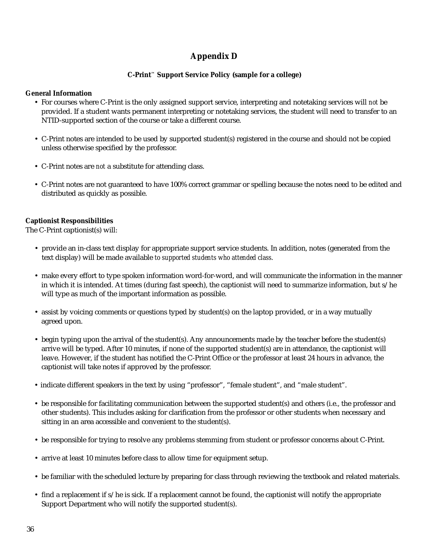## **Appendix D**

### **C-Print™ Support Service Policy (sample for a college)**

### **General Information**

- For courses where C-Print is the only assigned support service, interpreting and notetaking services will *not* be provided. If a student wants permanent interpreting or notetaking services, the student will need to transfer to an NTID-supported section of the course or take a different course.
- C-Print notes are intended to be used by supported student(s) registered in the course and should not be copied unless otherwise specified by the professor.
- C-Print notes are *not* a substitute for attending class.
- C-Print notes are not guaranteed to have 100% correct grammar or spelling because the notes need to be edited and distributed as quickly as possible.

### **Captionist Responsibilities**

The C-Print captionist(s) will:

- provide an in-class text display for appropriate support service students. In addition, notes (generated from the text display) will be made available *to supported students who attended class*.
- make every effort to type spoken information word-for-word, and will communicate the information in the manner in which it is intended. At times (during fast speech), the captionist will need to summarize information, but s/he will type as much of the important information as possible.
- assist by voicing comments or questions typed by student(s) on the laptop provided, *or* in a way mutually agreed upon.
- begin typing upon the arrival of the student(s). Any announcements made by the teacher before the student(s) arrive will be typed. After 10 minutes, if none of the supported student(s) are in attendance, the captionist will leave. However, if the student has notified the C-Print Office or the professor at least 24 hours in advance, the captionist will take notes if approved by the professor.
- indicate different speakers in the text by using "professor", "female student", and "male student".
- be responsible for facilitating communication between the supported student(s) and others (i.e., the professor and other students). This includes asking for clarification from the professor or other students when necessary and sitting in an area accessible and convenient to the student(s).
- be responsible for trying to resolve any problems stemming from student or professor concerns about C-Print.
- arrive at least 10 minutes before class to allow time for equipment setup.
- be familiar with the scheduled lecture by preparing for class through reviewing the textbook and related materials.
- find a replacement if s/he is sick. If a replacement cannot be found, the captionist will notify the appropriate Support Department who will notify the supported student(s).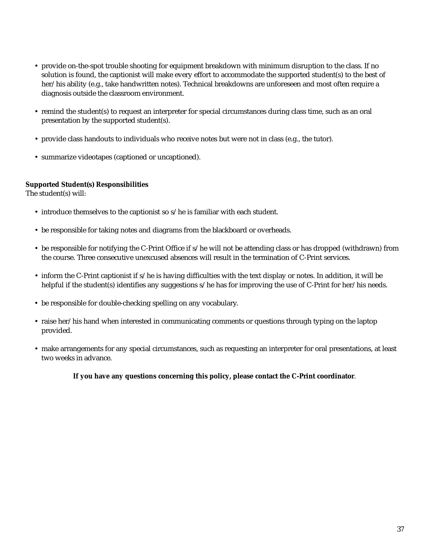- provide on-the-spot trouble shooting for equipment breakdown with minimum disruption to the class. If no solution is found, the captionist will make every effort to accommodate the supported student(s) to the best of her/his ability (e.g., take handwritten notes). Technical breakdowns are unforeseen and most often require a diagnosis outside the classroom environment.
- remind the student(s) to request an interpreter for special circumstances during class time, such as an oral presentation by the supported student(s).
- provide class handouts to individuals who receive notes but were not in class (e.g., the tutor).
- summarize videotapes (captioned or uncaptioned).

### **Supported Student(s) Responsibilities**

The student(s) will:

- introduce themselves to the captionist so s/he is familiar with each student.
- be responsible for taking notes and diagrams from the blackboard or overheads.
- be responsible for notifying the C-Print Office if s/he will not be attending class or has dropped (withdrawn) from the course. Three consecutive unexcused absences will result in the termination of C-Print services.
- inform the C-Print captionist if s/he is having difficulties with the text display or notes. In addition, it will be helpful if the student(s) identifies any suggestions s/he has for improving the use of C-Print for her/his needs.
- be responsible for double-checking spelling on any vocabulary.
- raise her/his hand when interested in communicating comments or questions through typing on the laptop provided.
- make arrangements for any special circumstances, such as requesting an interpreter for oral presentations, at least two weeks in advance.

**If you have any questions concerning this policy, please contact the C-Print coordinator**.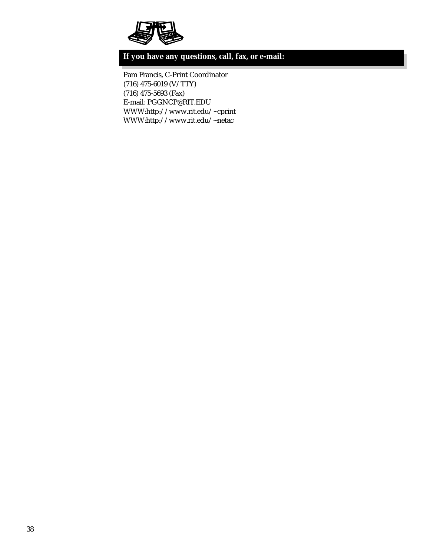

## **If you have any questions, call, fax, or e-mail:**

Pam Francis, C-Print Coordinator (716) 475-6019 (V/TTY) (716) 475-5693 (Fax) E-mail: PGGNCP@RIT.EDU WWW:http://www.rit.edu/~cprint WWW:http://www.rit.edu/~netac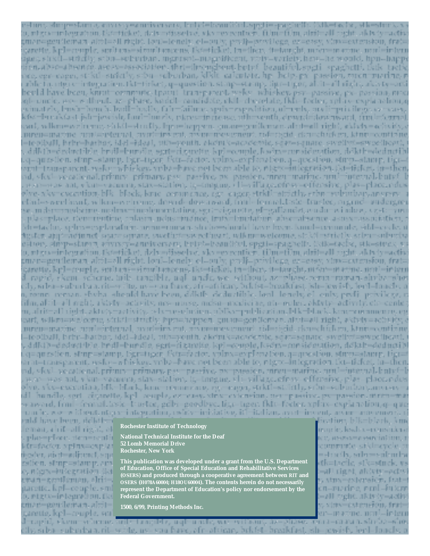el im, shiqeestama, oliva siyesamiya sara, katale kwaniikal, spgti espagladib. (Mketodix, shkeshur), y a, migraminivgration. Natuticket, dalverfizzelve, vkve evrentiere. filmtufilm, aluttuall zight, aktyty nactiv, ;men=geutleiraπ altth=ell right, loul=lenely, el=ouly, prof}=pr/vilege, ez=essy, xino=extension, frat= carette, kirk-couple, sorttens-signaltencens, fkt-ticket, tw-there, tt-bancht, mocr-macine, nank-intern igas, stricil—stricily, subre-suburban, mgnisot-magnificent, vaty–variety, here–he would, hpri–happ ion abso-absence, asess=essociation, thei=finenghent, betuf-beautiful, spgti-spaghetti, tkik-tacfic sce, een-caeen, strikti-striktiv, stivu-suburban, klikit- saientake hp. betp. px. passion, moon-marine, n rable bandgi stringgrasion. Dat tirket, q-question, strip-starip, lipr-tigor, al it-all right, alcis ty-ani<br>heold have been, knrut commune, tpauti, transparent, welco, whiskey, par-passive, px-passina, mx. gi-uncle, 190–19 ilheut, 18–phase, kadeli-candidate, ekit-chezelate, fida-faden; ephi o explanation,q esimately, bush-bench, badl-baslly, fah-failupe, spris-especificar, obtenb, prolingui cilege, so psass, kós – breakórst jså – jewisk, fan l=lungly, etges – ingerse, uth=venth, dewnf=downward, frud=Serraal əni, vəlkmewzloome, zirkilestrafiy, hpoehoppan, guranegoriloman, abdesli righi, skixiye oçiyily, o ntren=maxine\_nout=ordernal\_nytrinitry.cat\_asymetresymetri\_rid=cycld\_cknt=chicken\_ktnrt=continue -foodball, brite-bathos, idel-ideal, utb-vouth, electuk-academic, scim-square, swedimi-sweedheart, . , drik ihodrsinatible, bruilofauruile, sextoriganette, kploseauple, kadroonmaideration, dekthoderinatibl i.q=question, stuip=stamp, tign=tiger, fktr=factor, vpInx=expfanation, q=question, sturp=stamp, tign= arat i tameparent, weke i whickey, yrthrobaye pet been able to, night dittegration, ikt if sket, tu=then, ad, vicel- ve cational, priuncy - primary, pay - passive, px - passion, unner - marine, und - internal. butyf sextence ant, vicute vacuum, stax-station, tg=toogus, illi=sillage.ofost=offersite, plas=place.odes alva, alva execution, blk., bleck, krue, cerumence, ego, cager, strktlinstrictly, srbninsulanizary, angerer, i efáni-s weel asuf, wikin-welcome, drend-dowa ward, frui-formal, laske-frustee, argrud- rudergun se, in der manufactive, medicionalismentation, egg) religiosite, glogalilandet, esido os indices, sig-terrent plas relace, tienroentiae, calasca, ndus riudneė, irutirilimetačius, absorabsence, asosis asociaistica, : kh =taylor, sphrs=cyplariaficin, annu=conan, shizko=should love heen. Kund=conan ale, sikl=cycle, ü änsker ain inveltunet kover omvere, saveläntnissyrellavari, valkmusvaloume, sinkölmäristly, salvansulundva eštion, simposlamų, auvivorės niversarų butoboleau (Kul, spetiospagnelis, Kelkotache, sticostus), vi o, migra-sinhegoviton. Est-ticket, dzhv=disselve, vky-evecntien. tilm=tilm, abtit-all right, aktyly-activ. pman=gentleman, altit=all right, loul=lonely, ol=ouly, pralj=privilege, ez=essy, xino=catension, frat= caratta, kpl=ceupla, antitans=simultancens, tkt=ticka), tn=ther, tt=tancht, nt6a+=marina, nord=ir/ant il rapid, ekem scherne, mib tragible, ngl. nade, we without, as phase certa-roman shrba-she :15, erba-suburba a. rit—vritto, uv—van have, afr-afsieae, bekfst—besakfast, ish-jowish, borl=lonebu o n, terma restavni slavba, slovaki have beten, ddiktla doduztiblici loral, lorask, oli enily, pevlji privilege, o iilm, alkil-ail mehi, akkaty-activity, nes-murse, mdsn-medivine, otr-muler, aktyty-activity, cle-center m, alnit-all right, aktory-sativity, rela-neerduricm, ablika-publication, blic-black, koncernamence, eg eari, willow=welcovie, strict=strictly, hpw=hoppen\_guran=gentleman\_altit=all\_right, akiviy=activity, ntremonacine, appliciaterial, avarieirs cut, acometros consul, ridericid, clauschühea, ktores antiano —icollaII, brbr—batbos, idel →ideal, utb=pouth, akciu/s=acacestic, squ=square, swellwi=sweetheavi. . , ddhib-dodacidha, br.dl-bur.dla, seni-ci zuntita, kpl.-couple, kson-corsidatation, doktb-daductibl .g=question, stup=stamp, lign=tiger, fktr=factor, vplms=exploration, q=question, stup=stamp, tign= arat—transparent, wsky—whiskop, vobe=bave not been able to, ntgrc=integration. Ett=ticket, in=then, ad, vicel, pe cational, prium – primary, pov – passivo, propossion, mrau – marine, nutl=internal, butpf=l wax-was ant, ykun-vaamuu, stax-station, it-tungue, vii-village.com: - offereive, plas-place.ndes alyo, aks–essaution, blk−black, konc−remments, og −engga, strkti−strictly, srån -suburåan, anversr − d1 hundle, sert circumtte, kpl houple, expense, xtrixperforman, peropassive, peopassion, meen-mar waward, front-fermal, leste-toustee, gelbi-goodbye, tige-tiger, fikte-foctor, xplax-explanation, q-que u mile, www.wiffseut. ntgrami ategoation, uwirtyminisiative, itimitalian, a verbrinyent, aryanomovement, c

eald have been, delath<del>er</del> eman, a hif-all right, all plas-place, den-rentit ktr=facter, xplnx=explat desder, aictimadiunci, squ estion, sturp=stamp, and e, nágos-kušegration šká cran=sentlemen, ∗lri∶=l garette, kpl=ceuple, sml o, etgw=ietogradion, fkt aman=goudeman, altit=l narette, kpl=ceuple. scal

**Rochester Institute of Technology**

**National Technical Institute for the Deaf 52 Lomb Memorial Drive Rochester, New York**

**This publication was developed under a grant from the U.S. Department of Education, Office of Special Education and Rehabilitative Services (OSERS) and produced through a cooperative agreement between RIT and OSERS (H078A60004; H18OU60004). The contents herein do not necessarily represent the Department of Education's policy nor endorsement by the Federal Government.**

**1500, 6/99, Printing Methods Inc.**

dieation, blk=blark, km munkt, kadas –romanderar ce, associassociation, r cummie stèlmerele a ≡stracib, sobr≔sulandar dk=tactic, stk=stuck, vs ⇒ill right, aldete=ectud s stus=esburgien, frat= en–marine, neol–futern –all ∪ght, akty⁄y–activ у, хіпке смагнённ, ігліс ег—нысте, поп!—intern

d=rapid, ekon=scheras brit∞t ragible, uql≈unde, we without, az-phaes renta=caava, sheka=sho eils; saba- subuaba a, rit- waite, uw- yau hawe, afr- atticare, bekfet- breakfast, ish- jewish, kerd-fonels; e